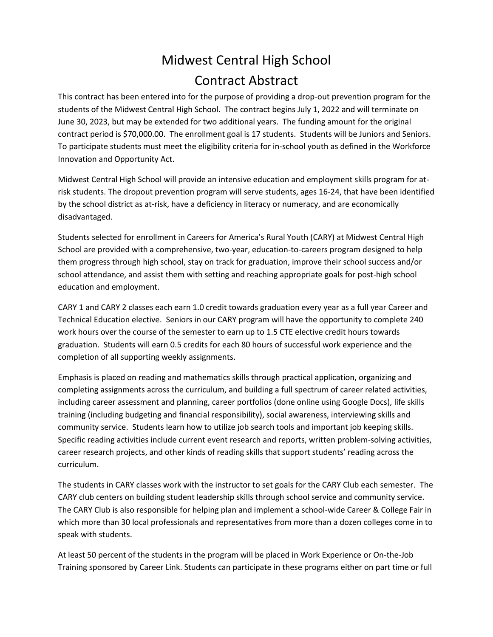## Midwest Central High School Contract Abstract

This contract has been entered into for the purpose of providing a drop-out prevention program for the students of the Midwest Central High School. The contract begins July 1, 2022 and will terminate on June 30, 2023, but may be extended for two additional years. The funding amount for the original contract period is \$70,000.00. The enrollment goal is 17 students. Students will be Juniors and Seniors. To participate students must meet the eligibility criteria for in-school youth as defined in the Workforce Innovation and Opportunity Act.

Midwest Central High School will provide an intensive education and employment skills program for atrisk students. The dropout prevention program will serve students, ages 16-24, that have been identified by the school district as at-risk, have a deficiency in literacy or numeracy, and are economically disadvantaged.

Students selected for enrollment in Careers for America's Rural Youth (CARY) at Midwest Central High School are provided with a comprehensive, two-year, education-to-careers program designed to help them progress through high school, stay on track for graduation, improve their school success and/or school attendance, and assist them with setting and reaching appropriate goals for post-high school education and employment.

CARY 1 and CARY 2 classes each earn 1.0 credit towards graduation every year as a full year Career and Technical Education elective. Seniors in our CARY program will have the opportunity to complete 240 work hours over the course of the semester to earn up to 1.5 CTE elective credit hours towards graduation. Students will earn 0.5 credits for each 80 hours of successful work experience and the completion of all supporting weekly assignments.

Emphasis is placed on reading and mathematics skills through practical application, organizing and completing assignments across the curriculum, and building a full spectrum of career related activities, including career assessment and planning, career portfolios (done online using Google Docs), life skills training (including budgeting and financial responsibility), social awareness, interviewing skills and community service. Students learn how to utilize job search tools and important job keeping skills. Specific reading activities include current event research and reports, written problem-solving activities, career research projects, and other kinds of reading skills that support students' reading across the curriculum.

The students in CARY classes work with the instructor to set goals for the CARY Club each semester. The CARY club centers on building student leadership skills through school service and community service. The CARY Club is also responsible for helping plan and implement a school-wide Career & College Fair in which more than 30 local professionals and representatives from more than a dozen colleges come in to speak with students.

At least 50 percent of the students in the program will be placed in Work Experience or On-the-Job Training sponsored by Career Link. Students can participate in these programs either on part time or full